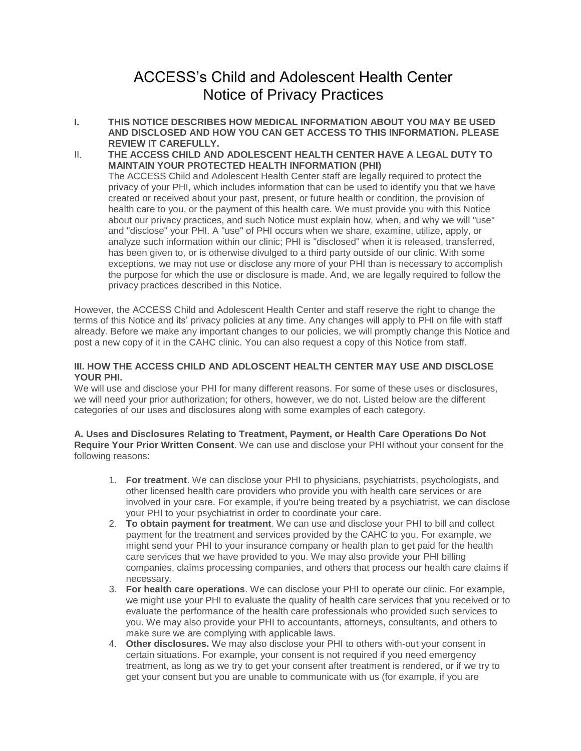# ACCESS's Child and Adolescent Health Center Notice of Privacy Practices

- **I. THIS NOTICE DESCRIBES HOW MEDICAL INFORMATION ABOUT YOU MAY BE USED AND DISCLOSED AND HOW YOU CAN GET ACCESS TO THIS INFORMATION. PLEASE REVIEW IT CAREFULLY.**
- II. **THE ACCESS CHILD AND ADOLESCENT HEALTH CENTER HAVE A LEGAL DUTY TO MAINTAIN YOUR PROTECTED HEALTH INFORMATION (PHI)** The ACCESS Child and Adolescent Health Center staff are legally required to protect the privacy of your PHI, which includes information that can be used to identify you that we have created or received about your past, present, or future health or condition, the provision of health care to you, or the payment of this health care. We must provide you with this Notice about our privacy practices, and such Notice must explain how, when, and why we will "use" and "disclose" your PHI. A "use" of PHI occurs when we share, examine, utilize, apply, or analyze such information within our clinic; PHI is "disclosed" when it is released, transferred, has been given to, or is otherwise divulged to a third party outside of our clinic. With some exceptions, we may not use or disclose any more of your PHI than is necessary to accomplish the purpose for which the use or disclosure is made. And, we are legally required to follow the privacy practices described in this Notice.

However, the ACCESS Child and Adolescent Health Center and staff reserve the right to change the terms of this Notice and its' privacy policies at any time. Any changes will apply to PHI on file with staff already. Before we make any important changes to our policies, we will promptly change this Notice and post a new copy of it in the CAHC clinic. You can also request a copy of this Notice from staff.

## **III. HOW THE ACCESS CHILD AND ADLOSCENT HEALTH CENTER MAY USE AND DISCLOSE YOUR PHI.**

We will use and disclose your PHI for many different reasons. For some of these uses or disclosures, we will need your prior authorization; for others, however, we do not. Listed below are the different categories of our uses and disclosures along with some examples of each category.

## **A. Uses and Disclosures Relating to Treatment, Payment, or Health Care Operations Do Not Require Your Prior Written Consent**. We can use and disclose your PHI without your consent for the following reasons:

- 1. **For treatment**. We can disclose your PHI to physicians, psychiatrists, psychologists, and other licensed health care providers who provide you with health care services or are involved in your care. For example, if you're being treated by a psychiatrist, we can disclose your PHI to your psychiatrist in order to coordinate your care.
- 2. **To obtain payment for treatment**. We can use and disclose your PHI to bill and collect payment for the treatment and services provided by the CAHC to you. For example, we might send your PHI to your insurance company or health plan to get paid for the health care services that we have provided to you. We may also provide your PHI billing companies, claims processing companies, and others that process our health care claims if necessary.
- 3. **For health care operations**. We can disclose your PHI to operate our clinic. For example, we might use your PHI to evaluate the quality of health care services that you received or to evaluate the performance of the health care professionals who provided such services to you. We may also provide your PHI to accountants, attorneys, consultants, and others to make sure we are complying with applicable laws.
- 4. **Other disclosures.** We may also disclose your PHI to others with-out your consent in certain situations. For example, your consent is not required if you need emergency treatment, as long as we try to get your consent after treatment is rendered, or if we try to get your consent but you are unable to communicate with us (for example, if you are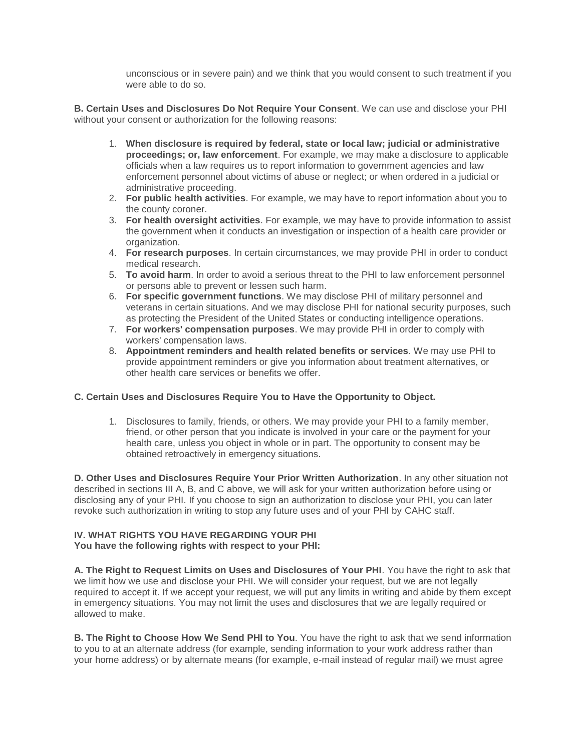unconscious or in severe pain) and we think that you would consent to such treatment if you were able to do so.

**B. Certain Uses and Disclosures Do Not Require Your Consent**. We can use and disclose your PHI without your consent or authorization for the following reasons:

- 1. **When disclosure is required by federal, state or Iocal law; judicial or administrative proceedings; or, law enforcement**. For example, we may make a disclosure to applicable officials when a law requires us to report information to government agencies and law enforcement personnel about victims of abuse or neglect; or when ordered in a judicial or administrative proceeding.
- 2. **For public health activities**. For example, we may have to report information about you to the county coroner.
- 3. **For health oversight activities**. For example, we may have to provide information to assist the government when it conducts an investigation or inspection of a health care provider or organization.
- 4. **For research purposes**. In certain circumstances, we may provide PHI in order to conduct medical research.
- 5. **To avoid harm**. In order to avoid a serious threat to the PHI to law enforcement personnel or persons able to prevent or lessen such harm.
- 6. **For specific government functions**. We may disclose PHI of military personnel and veterans in certain situations. And we may disclose PHI for national security purposes, such as protecting the President of the United States or conducting intelligence operations.
- 7. **For workers' compensation purposes**. We may provide PHI in order to comply with workers' compensation laws.
- 8. **Appointment reminders and health related benefits or services**. We may use PHI to provide appointment reminders or give you information about treatment alternatives, or other health care services or benefits we offer.

# **C. Certain Uses and Disclosures Require You to Have the Opportunity to Object.**

1. Disclosures to family, friends, or others. We may provide your PHI to a family member, friend, or other person that you indicate is involved in your care or the payment for your health care, unless you object in whole or in part. The opportunity to consent may be obtained retroactively in emergency situations.

**D. Other Uses and Disclosures Require Your Prior Written Authorization**. In any other situation not described in sections III A, B, and C above, we will ask for your written authorization before using or disclosing any of your PHI. If you choose to sign an authorization to disclose your PHI, you can later revoke such authorization in writing to stop any future uses and of your PHI by CAHC staff.

#### **IV. WHAT RIGHTS YOU HAVE REGARDING YOUR PHI You have the following rights with respect to your PHI:**

**A. The Right to Request Limits on Uses and Disclosures of Your PHI**. You have the right to ask that we limit how we use and disclose your PHI. We will consider your request, but we are not legally required to accept it. If we accept your request, we will put any limits in writing and abide by them except in emergency situations. You may not limit the uses and disclosures that we are legally required or allowed to make.

**B. The Right to Choose How We Send PHI to You**. You have the right to ask that we send information to you to at an alternate address (for example, sending information to your work address rather than your home address) or by alternate means (for example, e-mail instead of regular mail) we must agree